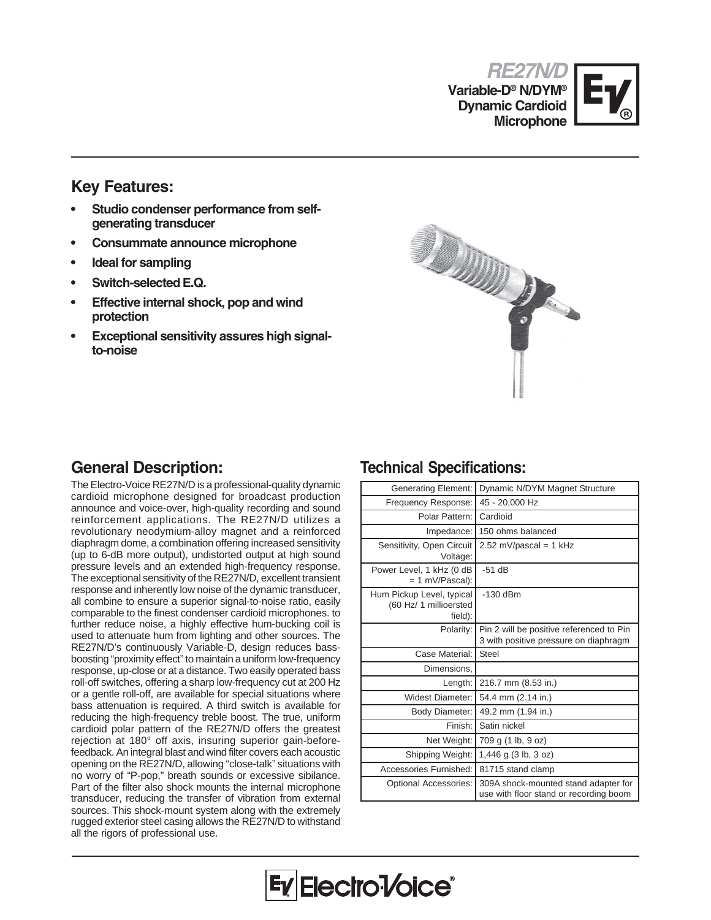**RE27N/D Variable-D® N/DYM® Dynamic Cardioid Microphone**



### **Key Features:**

- **Studio condenser performance from selfgenerating transducer**
- **Consummate announce microphone**
- **Ideal for sampling**
- **Switch-selected E.Q.**
- **Effective internal shock, pop and wind protection**
- **Exceptional sensitivity assures high signalto-noise**



The Electro-Voice RE27N/D is a professional-quality dynamic cardioid microphone designed for broadcast production announce and voice-over, high-quality recording and sound reinforcement applications. The RE27N/D utilizes a revolutionary neodymium-alloy magnet and a reinforced diaphragm dome, a combination offering increased sensitivity (up to 6-dB more output), undistorted output at high sound pressure levels and an extended high-frequency response. The exceptional sensitivity of the RE27N/D, excellent transient response and inherently low noise of the dynamic transducer, all combine to ensure a superior signal-to-noise ratio, easily comparable to the finest condenser cardioid microphones. to further reduce noise, a highly effective hum-bucking coil is used to attenuate hum from lighting and other sources. The RE27N/D's continuously Variable-D, design reduces bassboosting "proximity effect" to maintain a uniform low-frequency response, up-close or at a distance. Two easily operated bass roll-off switches, offering a sharp low-frequency cut at 200 Hz or a gentle roll-off, are available for special situations where bass attenuation is required. A third switch is available for reducing the high-frequency treble boost. The true, uniform cardioid polar pattern of the RE27N/D offers the greatest rejection at 180° off axis, insuring superior gain-beforefeedback. An integral blast and wind filter covers each acoustic opening on the RE27N/D, allowing "close-talk" situations with no worry of "P-pop," breath sounds or excessive sibilance. Part of the filter also shock mounts the internal microphone transducer, reducing the transfer of vibration from external sources. This shock-mount system along with the extremely rugged exterior steel casing allows the RE27N/D to withstand all the rigors of professional use.

### **General Description: Technical Specifications:**

| <b>Generating Element:</b>                                     | Dynamic N/DYM Magnet Structure                                                    |
|----------------------------------------------------------------|-----------------------------------------------------------------------------------|
| Frequency Response:                                            | 45 - 20,000 Hz                                                                    |
| Polar Pattern:                                                 | Cardioid                                                                          |
| Impedance:                                                     | 150 ohms balanced                                                                 |
| Sensitivity, Open Circuit<br>Voltage:                          | 2.52 mV/pascal = $1$ kHz                                                          |
| Power Level, 1 kHz (0 dB<br>= 1 mV/Pascal):                    | $-51$ dB                                                                          |
| Hum Pickup Level, typical<br>(60 Hz/ 1 millioersted<br>field): | $-130$ dBm                                                                        |
| Polarity:                                                      | Pin 2 will be positive referenced to Pin<br>3 with positive pressure on diaphragm |
| Case Material:                                                 | <b>Steel</b>                                                                      |
| Dimensions.                                                    |                                                                                   |
| Length:                                                        | 216.7 mm (8.53 in.)                                                               |
| <b>Widest Diameter:</b>                                        | 54.4 mm (2.14 in.)                                                                |
| <b>Body Diameter:</b>                                          | 49.2 mm (1.94 in.)                                                                |
| Finish:                                                        | Satin nickel                                                                      |
| Net Weight:                                                    | 709 g (1 lb, 9 oz)                                                                |
| Shipping Weight:                                               | 1,446 g (3 lb, 3 oz)                                                              |
| Accessories Furnished:                                         | 81715 stand clamp                                                                 |
| Optional Accessories:                                          | 309A shock-mounted stand adapter for<br>use with floor stand or recording boom    |